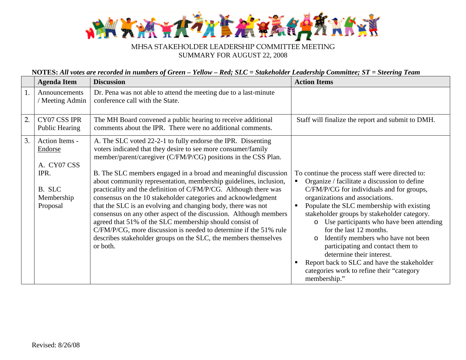

## MHSA STAKEHOLDER LEADERSHIP COMMITTEE MEETING SUMMARY FOR AUGUST 22, 2008

## **NOTES:** *All votes are recorded in numbers of Green – Yellow – Red; SLC = Stakeholder Leadership Committee; ST = Steering Team*

|                  | <b>Agenda Item</b>                                                                   | <b>Discussion</b>                                                                                                                                                                                                                                                                                                                                                                                                                                                                                                                                                                                                                                                                                                                                                                                                                | <b>Action Items</b>                                                                                                                                                                                                                                                                                                                                                                                                                                                                                                                                                                          |
|------------------|--------------------------------------------------------------------------------------|----------------------------------------------------------------------------------------------------------------------------------------------------------------------------------------------------------------------------------------------------------------------------------------------------------------------------------------------------------------------------------------------------------------------------------------------------------------------------------------------------------------------------------------------------------------------------------------------------------------------------------------------------------------------------------------------------------------------------------------------------------------------------------------------------------------------------------|----------------------------------------------------------------------------------------------------------------------------------------------------------------------------------------------------------------------------------------------------------------------------------------------------------------------------------------------------------------------------------------------------------------------------------------------------------------------------------------------------------------------------------------------------------------------------------------------|
| 1.               | Announcements<br>/ Meeting Admin                                                     | Dr. Pena was not able to attend the meeting due to a last-minute<br>conference call with the State.                                                                                                                                                                                                                                                                                                                                                                                                                                                                                                                                                                                                                                                                                                                              |                                                                                                                                                                                                                                                                                                                                                                                                                                                                                                                                                                                              |
| $\overline{2}$ . | CY07 CSS IPR<br>Public Hearing                                                       | The MH Board convened a public hearing to receive additional<br>comments about the IPR. There were no additional comments.                                                                                                                                                                                                                                                                                                                                                                                                                                                                                                                                                                                                                                                                                                       | Staff will finalize the report and submit to DMH.                                                                                                                                                                                                                                                                                                                                                                                                                                                                                                                                            |
| 3.               | Action Items -<br>Endorse<br>A. CY07 CSS<br>IPR.<br>B. SLC<br>Membership<br>Proposal | A. The SLC voted 22-2-1 to fully endorse the IPR. Dissenting<br>voters indicated that they desire to see more consumer/family<br>member/parent/caregiver (C/FM/P/CG) positions in the CSS Plan.<br>B. The SLC members engaged in a broad and meaningful discussion<br>about community representation, membership guidelines, inclusion,<br>practicality and the definition of C/FM/P/CG. Although there was<br>consensus on the 10 stakeholder categories and acknowledgment<br>that the SLC is an evolving and changing body, there was not<br>consensus on any other aspect of the discussion. Although members<br>agreed that 51% of the SLC membership should consist of<br>C/FM/P/CG, more discussion is needed to determine if the 51% rule<br>describes stakeholder groups on the SLC, the members themselves<br>or both. | To continue the process staff were directed to:<br>Organize / facilitate a discussion to define<br>C/FM/P/CG for individuals and for groups,<br>organizations and associations.<br>Populate the SLC membership with existing<br>stakeholder groups by stakeholder category.<br>Use participants who have been attending<br>$\circ$<br>for the last 12 months.<br>Identify members who have not been<br>$\circ$<br>participating and contact them to<br>determine their interest.<br>Report back to SLC and have the stakeholder<br>categories work to refine their "category<br>membership." |